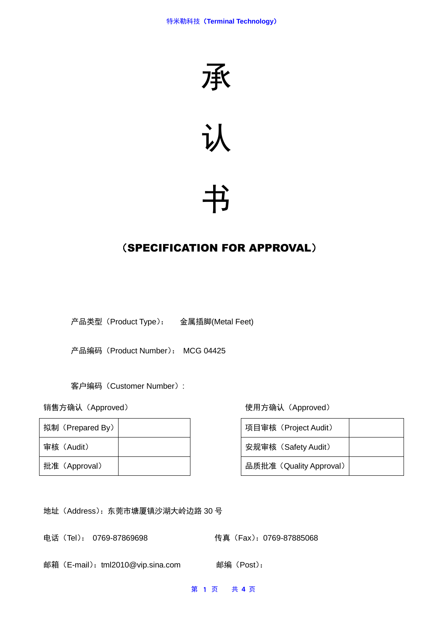



# 书

# (SPECIFICATION FOR APPROVAL)

产品类型(Product Type): 金属插脚(Metal Feet)

产品编码(Product Number): MCG 04425

客户编码(Customer Number):

| 拟制 (Prepared By) |  | 项目审核(Project Audit)     |
|------------------|--|-------------------------|
| 审核(Audit)        |  | 安规审核 (Safety Audit)     |
| 批准 (Approval)    |  | 品质批准 (Quality Approval) |

销售方确认(Approved) 使用方确认(Approved)

| 项目审核 (Project Audit)    |  |
|-------------------------|--|
| 安规审核 (Safety Audit)     |  |
| 品质批准 (Quality Approval) |  |

地址(Address):东莞市塘厦镇沙湖大岭边路 30 号

电话(Tel): 0769-87869698 传真(Fax): 0769-87885068

邮箱(E-mail):tml2010@vip.sina.com 邮编(Post):

第 1 页 共 **4** 页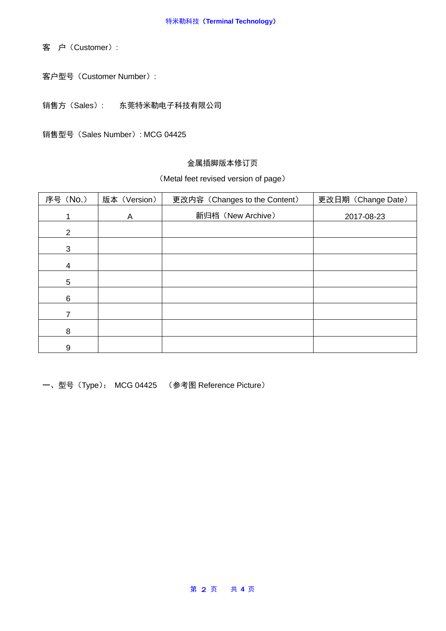客 户(Customer):

客户型号(Customer Number):

销售方(Sales): 东莞特米勒电子科技有限公司

销售型号(Sales Number): MCG 04425

### 金属插脚版本修订页

#### (Metal feet revised version of page)

| 序号 (No.) | 版本 (Version) | 更改内容 (Changes to the Content) | 更改日期 (Change Date) |
|----------|--------------|-------------------------------|--------------------|
|          | A            | 新归档 (New Archive)             | 2017-08-23         |
| 2        |              |                               |                    |
| 3        |              |                               |                    |
| 4        |              |                               |                    |
| 5        |              |                               |                    |
| 6        |              |                               |                    |
| 7        |              |                               |                    |
| 8        |              |                               |                    |
| 9        |              |                               |                    |

一、型号(Type): MCG 04425 (参考图 Reference Picture)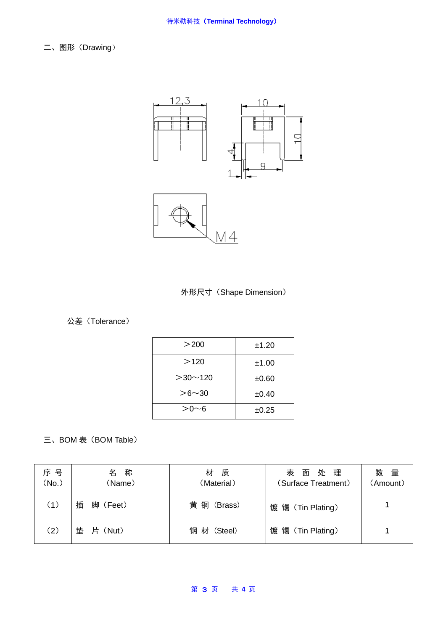二、图形(Drawing)





# 公差(Tolerance)

| >200          | ±1.20 |
|---------------|-------|
| >120          | ±1.00 |
| $>30$ ~ 120   | ±0.60 |
| $> 6 \sim 30$ | ±0.40 |
| $> 0 \sim 6$  | ±0.25 |

# 三、BOM 表 (BOM Table)

| 序 号<br>(No.) | 称<br>名<br>(Name) | 材<br>质<br>(Material) | 面处理<br>表<br>(Surface Treatment) | 数量<br>(Amount) |
|--------------|------------------|----------------------|---------------------------------|----------------|
| (1)          | 插<br>脚 (Feet)    | 黄<br>铜(Brass)        | 镀 锡 (Tin Plating)               |                |
| (2)          | 垫<br>片(Nut)      | 钢 材 (Steel)          | 镀 锡 (Tin Plating)               |                |

#### 第 3 页 共 **4** 页